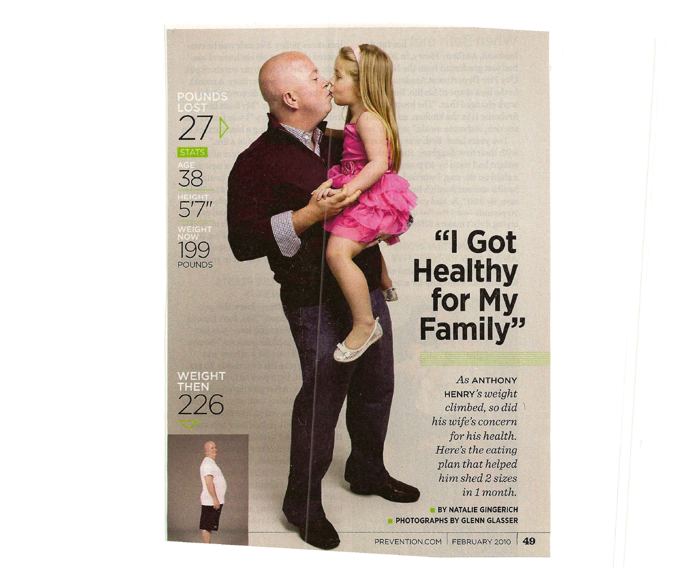WEIGHT<br>THEN 226

*27v*

**38**

**5'7"**

• **199** POUNDS

**"I Got Healthy for My Family"**

> *As* ANTHONY **HENRY'S** *weight climbed, so did \ his wife's concern for his health. Here 's the eating plan that helped him shed* 2 *sizes inlmonth.*

**BY NATALIE GINGERICH PHOTOGRAPHS BY GLENN GLASSER**